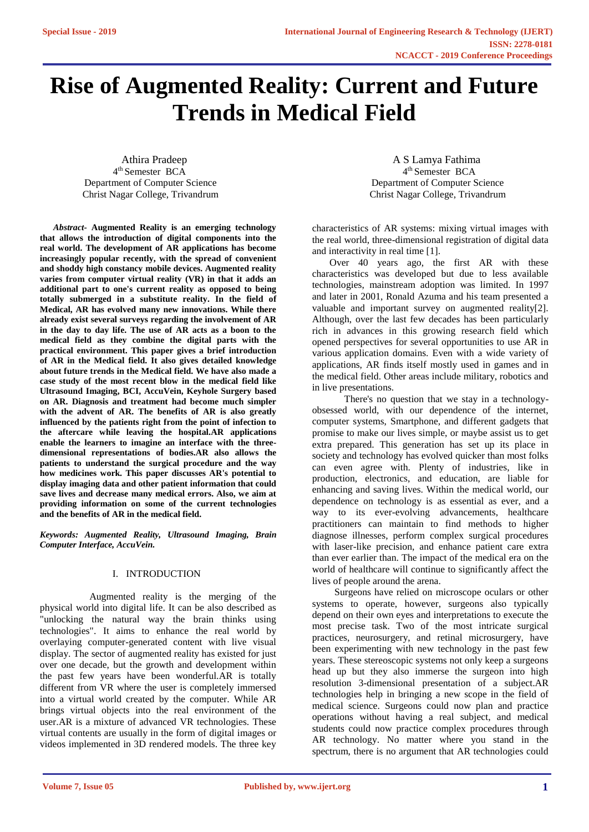# **Rise of Augmented Reality: Current and Future Trends in Medical Field**

4 th Semester BCA 4

*Abstract-* **Augmented Reality is an emerging technology that allows the introduction of digital components into the real world. The development of AR applications has become increasingly popular recently, with the spread of convenient and shoddy high constancy mobile devices. Augmented reality varies from computer virtual reality (VR) in that it adds an additional part to one's current reality as opposed to being totally submerged in a substitute reality. In the field of Medical, AR has evolved many new innovations. While there already exist several surveys regarding the involvement of AR in the day to day life. The use of AR acts as a boon to the medical field as they combine the digital parts with the practical environment. This paper gives a brief introduction of AR in the Medical field. It also gives detailed knowledge about future trends in the Medical field. We have also made a case study of the most recent blow in the medical field like Ultrasound Imaging, BCI, AccuVein, Keyhole Surgery based on AR. Diagnosis and treatment had become much simpler with the advent of AR. The benefits of AR is also greatly influenced by the patients right from the point of infection to the aftercare while leaving the hospital.AR applications enable the learners to imagine an interface with the threedimensional representations of bodies.AR also allows the patients to understand the surgical procedure and the way how medicines work. This paper discusses AR's potential to display imaging data and other patient information that could save lives and decrease many medical errors. Also, we aim at providing information on some of the current technologies and the benefits of AR in the medical field.**

*Keywords: Augmented Reality, Ultrasound Imaging, Brain Computer Interface, AccuVein.*

# I. INTRODUCTION

 Augmented reality is the merging of the physical world into digital life. It can be also described as "unlocking the natural way the brain thinks using technologies". It aims to enhance the real world by overlaying computer-generated content with live visual display. The sector of augmented reality has existed for just over one decade, but the growth and development within the past few years have been wonderful.AR is totally different from VR where the user is completely immersed into a virtual world created by the computer. While AR brings virtual objects into the real environment of the user.AR is a mixture of advanced VR technologies. These virtual contents are usually in the form of digital images or videos implemented in 3D rendered models. The three key

Athira Pradeep A S Lamya Fathima 4<sup>th</sup> Semester BCA Department of Computer Science Department of Computer Science Christ Nagar College, Trivandrum Christ Nagar College, Trivandrum

> characteristics of AR systems: mixing virtual images with the real world, three-dimensional registration of digital data and interactivity in real time [1].

> Over 40 years ago, the first AR with these characteristics was developed but due to less available technologies, mainstream adoption was limited. In 1997 and later in 2001, Ronald Azuma and his team presented a valuable and important survey on augmented reality[2]. Although, over the last few decades has been particularly rich in advances in this growing research field which opened perspectives for several opportunities to use AR in various application domains. Even with a wide variety of applications, AR finds itself mostly used in games and in the medical field. Other areas include military, robotics and in live presentations.

> There's no question that we stay in a technologyobsessed world, with our dependence of the internet, computer systems, Smartphone, and different gadgets that promise to make our lives simple, or maybe assist us to get extra prepared. This generation has set up its place in society and technology has evolved quicker than most folks can even agree with. Plenty of industries, like in production, electronics, and education, are liable for enhancing and saving lives. Within the medical world, our dependence on technology is as essential as ever, and a way to its ever-evolving advancements, healthcare practitioners can maintain to find methods to higher diagnose illnesses, perform complex surgical procedures with laser-like precision, and enhance patient care extra than ever earlier than. The impact of the medical era on the world of healthcare will continue to significantly affect the lives of people around the arena.

> Surgeons have relied on microscope oculars or other systems to operate, however, surgeons also typically depend on their own eyes and interpretations to execute the most precise task. Two of the most intricate surgical practices, neurosurgery, and retinal microsurgery, have been experimenting with new technology in the past few years. These stereoscopic systems not only keep a surgeons head up but they also immerse the surgeon into high resolution 3-dimensional presentation of a subject.AR technologies help in bringing a new scope in the field of medical science. Surgeons could now plan and practice operations without having a real subject, and medical students could now practice complex procedures through AR technology. No matter where you stand in the spectrum, there is no argument that AR technologies could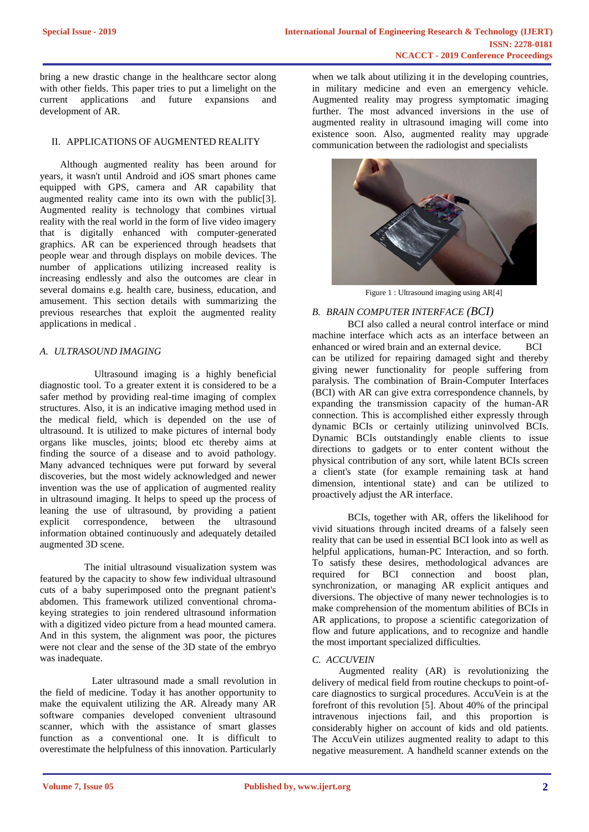bring a new drastic change in the healthcare sector along with other fields. This paper tries to put a limelight on the current applications and future expansions and development of AR.

## II. APPLICATIONS OF AUGMENTED REALITY

Although augmented reality has been around for years, it wasn't until Android and iOS smart phones came equipped with GPS, camera and AR capability that augmented reality came into its own with the public[3]. Augmented reality is technology that combines virtual reality with the real world in the form of live video imagery that is digitally enhanced with computer-generated graphics. AR can be experienced through headsets that people wear and through displays on mobile devices. The number of applications utilizing increased reality is increasing endlessly and also the outcomes are clear in several domains e.g. health care, business, education, and amusement. This section details with summarizing the previous researches that exploit the augmented reality applications in medical .

# *A. ULTRASOUND IMAGING*

 Ultrasound imaging is a highly beneficial diagnostic tool. To a greater extent it is considered to be a safer method by providing real-time imaging of complex structures. Also, it is an indicative imaging method used in the medical field, which is depended on the use of ultrasound. It is utilized to make pictures of internal body organs like muscles, joints; blood etc thereby aims at finding the source of a disease and to avoid pathology. Many advanced techniques were put forward by several discoveries, but the most widely acknowledged and newer invention was the use of application of augmented reality in ultrasound imaging. It helps to speed up the process of leaning the use of ultrasound, by providing a patient explicit correspondence, between the ultrasound information obtained continuously and adequately detailed augmented 3D scene.

 The initial ultrasound visualization system was featured by the capacity to show few individual ultrasound cuts of a baby superimposed onto the pregnant patient's abdomen. This framework utilized conventional chromakeying strategies to join rendered ultrasound information with a digitized video picture from a head mounted camera. And in this system, the alignment was poor, the pictures were not clear and the sense of the 3D state of the embryo was inadequate.

 Later ultrasound made a small revolution in the field of medicine. Today it has another opportunity to make the equivalent utilizing the AR. Already many AR software companies developed convenient ultrasound scanner, which with the assistance of smart glasses function as a conventional one. It is difficult to overestimate the helpfulness of this innovation. Particularly

when we talk about utilizing it in the developing countries, in military medicine and even an emergency vehicle. Augmented reality may progress symptomatic imaging further. The most advanced inversions in the use of augmented reality in ultrasound imaging will come into existence soon. Also, augmented reality may upgrade communication between the radiologist and specialists



Figure 1 : Ultrasound imaging using AR[4]

## *B. BRAIN COMPUTER INTERFACE (BCI)*

BCI also called a neural control interface or mind machine interface which acts as an interface between an enhanced or wired brain and an external device. BCI can be utilized for repairing damaged sight and thereby giving newer functionality for people suffering from paralysis. The combination of Brain-Computer Interfaces (BCI) with AR can give extra correspondence channels, by expanding the transmission capacity of the human-AR connection. This is accomplished either expressly through dynamic BCIs or certainly utilizing uninvolved BCIs. Dynamic BCIs outstandingly enable clients to issue directions to gadgets or to enter content without the physical contribution of any sort, while latent BCIs screen a client's state (for example remaining task at hand dimension, intentional state) and can be utilized to proactively adjust the AR interface.

BCIs, together with AR, offers the likelihood for vivid situations through incited dreams of a falsely seen reality that can be used in essential BCI look into as well as helpful applications, human-PC Interaction, and so forth. To satisfy these desires, methodological advances are required for BCI connection and boost plan, synchronization, or managing AR explicit antiques and diversions. The objective of many newer technologies is to make comprehension of the momentum abilities of BCIs in AR applications, to propose a scientific categorization of flow and future applications, and to recognize and handle the most important specialized difficulties.

### *C. ACCUVEIN*

Augmented reality (AR) is revolutionizing the delivery of medical field from routine checkups to point-ofcare diagnostics to surgical procedures. AccuVein is at the forefront of this revolution [5]. About 40% of the principal intravenous injections fail, and this proportion is considerably higher on account of kids and old patients. The AccuVein utilizes augmented reality to adapt to this negative measurement. A handheld scanner extends on the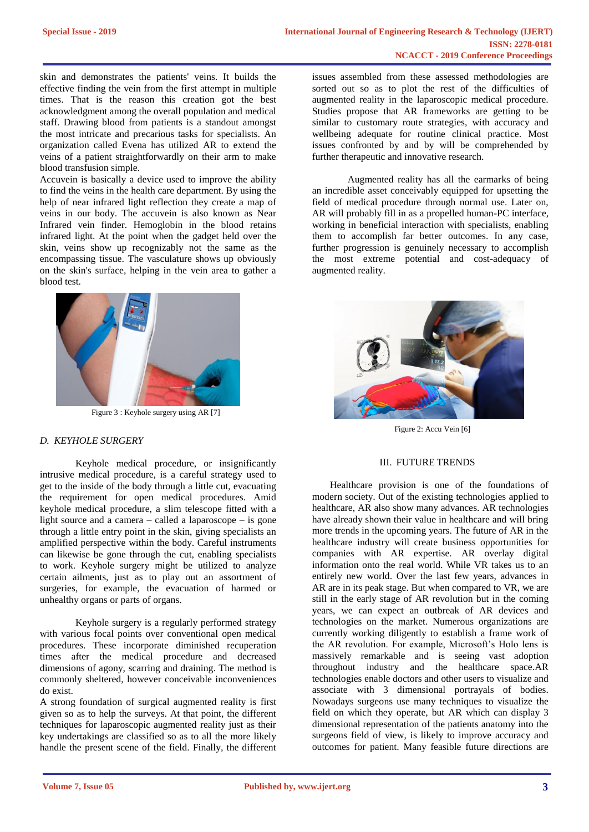skin and demonstrates the patients' veins. It builds the effective finding the vein from the first attempt in multiple times. That is the reason this creation got the best acknowledgment among the overall population and medical staff. Drawing blood from patients is a standout amongst the most intricate and precarious tasks for specialists. An organization called Evena has utilized AR to extend the veins of a patient straightforwardly on their arm to make blood transfusion simple.

Accuvein is basically a device used to improve the ability to find the veins in the health care department. By using the help of near infrared light reflection they create a map of veins in our body. The accuvein is also known as Near Infrared vein finder. Hemoglobin in the blood retains infrared light. At the point when the gadget held over the skin, veins show up recognizably not the same as the encompassing tissue. The vasculature shows up obviously on the skin's surface, helping in the vein area to gather a blood test.



Figure 3 : Keyhole surgery using AR [7]

# *D. KEYHOLE SURGERY*

Keyhole medical procedure, or insignificantly intrusive medical procedure, is a careful strategy used to get to the inside of the body through a little cut, evacuating the requirement for open medical procedures. Amid keyhole medical procedure, a slim telescope fitted with a light source and a camera – called a laparoscope – is gone through a little entry point in the skin, giving specialists an amplified perspective within the body. Careful instruments can likewise be gone through the cut, enabling specialists to work. Keyhole surgery might be utilized to analyze certain ailments, just as to play out an assortment of surgeries, for example, the evacuation of harmed or unhealthy organs or parts of organs.

Keyhole surgery is a regularly performed strategy with various focal points over conventional open medical procedures. These incorporate diminished recuperation times after the medical procedure and decreased dimensions of agony, scarring and draining. The method is commonly sheltered, however conceivable inconveniences do exist.

A strong foundation of surgical augmented reality is first given so as to help the surveys. At that point, the different techniques for laparoscopic augmented reality just as their key undertakings are classified so as to all the more likely handle the present scene of the field. Finally, the different

issues assembled from these assessed methodologies are sorted out so as to plot the rest of the difficulties of augmented reality in the laparoscopic medical procedure. Studies propose that AR frameworks are getting to be similar to customary route strategies, with accuracy and wellbeing adequate for routine clinical practice. Most issues confronted by and by will be comprehended by further therapeutic and innovative research.

Augmented reality has all the earmarks of being an incredible asset conceivably equipped for upsetting the field of medical procedure through normal use. Later on, AR will probably fill in as a propelled human-PC interface, working in beneficial interaction with specialists, enabling them to accomplish far better outcomes. In any case, further progression is genuinely necessary to accomplish the most extreme potential and cost-adequacy of augmented reality.



Figure 2: Accu Vein [6]

#### III. FUTURE TRENDS

Healthcare provision is one of the foundations of modern society. Out of the existing technologies applied to healthcare, AR also show many advances. AR technologies have already shown their value in healthcare and will bring more trends in the upcoming years. The future of AR in the healthcare industry will create business opportunities for companies with AR expertise. AR overlay digital information onto the real world. While VR takes us to an entirely new world. Over the last few years, advances in AR are in its peak stage. But when compared to VR, we are still in the early stage of AR revolution but in the coming years, we can expect an outbreak of AR devices and technologies on the market. Numerous organizations are currently working diligently to establish a frame work of the AR revolution. For example, Microsoft's Holo lens is massively remarkable and is seeing vast adoption throughout industry and the healthcare space.AR technologies enable doctors and other users to visualize and associate with 3 dimensional portrayals of bodies. Nowadays surgeons use many techniques to visualize the field on which they operate, but AR which can display 3 dimensional representation of the patients anatomy into the surgeons field of view, is likely to improve accuracy and outcomes for patient. Many feasible future directions are